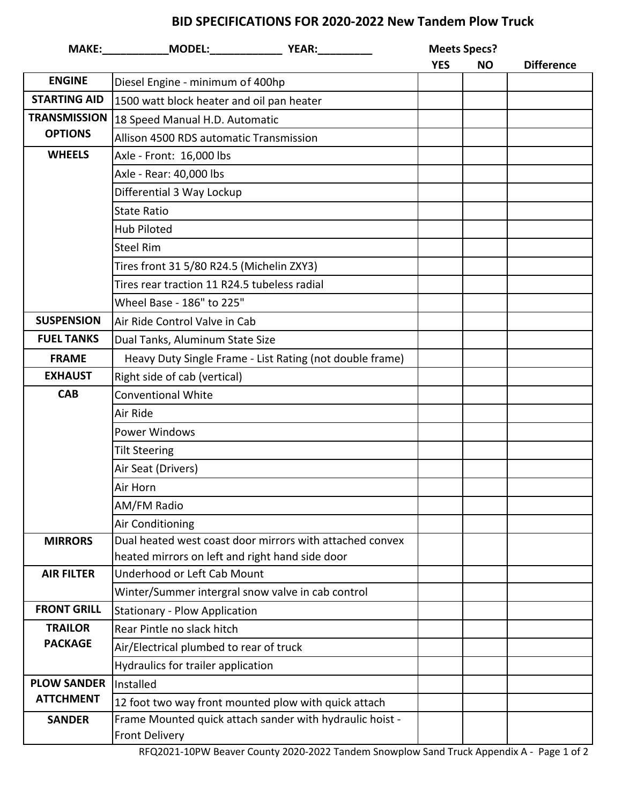## **BID SPECIFICATIONS FOR 2020-2022 New Tandem Plow Truck**

|                     |                                                                                                                                                                                                                   |  | <b>Meets Specs?</b><br><b>YES</b><br><b>NO</b> |  | <b>Difference</b> |
|---------------------|-------------------------------------------------------------------------------------------------------------------------------------------------------------------------------------------------------------------|--|------------------------------------------------|--|-------------------|
| <b>ENGINE</b>       | Diesel Engine - minimum of 400hp                                                                                                                                                                                  |  |                                                |  |                   |
| <b>STARTING AID</b> | 1500 watt block heater and oil pan heater                                                                                                                                                                         |  |                                                |  |                   |
| <b>TRANSMISSION</b> | 18 Speed Manual H.D. Automatic                                                                                                                                                                                    |  |                                                |  |                   |
| <b>OPTIONS</b>      | Allison 4500 RDS automatic Transmission                                                                                                                                                                           |  |                                                |  |                   |
| <b>WHEELS</b>       | Axle - Front: 16,000 lbs                                                                                                                                                                                          |  |                                                |  |                   |
|                     | Axle - Rear: 40,000 lbs<br>Differential 3 Way Lockup<br><b>State Ratio</b><br><b>Hub Piloted</b><br><b>Steel Rim</b><br>Tires front 31 5/80 R24.5 (Michelin ZXY3)<br>Tires rear traction 11 R24.5 tubeless radial |  |                                                |  |                   |
|                     |                                                                                                                                                                                                                   |  |                                                |  |                   |
|                     |                                                                                                                                                                                                                   |  |                                                |  |                   |
|                     |                                                                                                                                                                                                                   |  |                                                |  |                   |
|                     |                                                                                                                                                                                                                   |  |                                                |  |                   |
|                     |                                                                                                                                                                                                                   |  |                                                |  |                   |
|                     |                                                                                                                                                                                                                   |  |                                                |  |                   |
|                     | Wheel Base - 186" to 225"                                                                                                                                                                                         |  |                                                |  |                   |
| <b>SUSPENSION</b>   | Air Ride Control Valve in Cab                                                                                                                                                                                     |  |                                                |  |                   |
| <b>FUEL TANKS</b>   | Dual Tanks, Aluminum State Size                                                                                                                                                                                   |  |                                                |  |                   |
| <b>FRAME</b>        | Heavy Duty Single Frame - List Rating (not double frame)                                                                                                                                                          |  |                                                |  |                   |
| <b>EXHAUST</b>      | Right side of cab (vertical)                                                                                                                                                                                      |  |                                                |  |                   |
| <b>CAB</b>          | <b>Conventional White</b>                                                                                                                                                                                         |  |                                                |  |                   |
|                     | Air Ride                                                                                                                                                                                                          |  |                                                |  |                   |
|                     | Power Windows<br><b>Tilt Steering</b><br>Air Seat (Drivers)<br>Air Horn                                                                                                                                           |  |                                                |  |                   |
|                     |                                                                                                                                                                                                                   |  |                                                |  |                   |
|                     |                                                                                                                                                                                                                   |  |                                                |  |                   |
|                     |                                                                                                                                                                                                                   |  |                                                |  |                   |
|                     | AM/FM Radio                                                                                                                                                                                                       |  |                                                |  |                   |
|                     | <b>Air Conditioning</b>                                                                                                                                                                                           |  |                                                |  |                   |
| <b>MIRRORS</b>      | Dual heated west coast door mirrors with attached convex                                                                                                                                                          |  |                                                |  |                   |
|                     | heated mirrors on left and right hand side door                                                                                                                                                                   |  |                                                |  |                   |
| <b>AIR FILTER</b>   | Underhood or Left Cab Mount                                                                                                                                                                                       |  |                                                |  |                   |
| <b>FRONT GRILL</b>  | Winter/Summer intergral snow valve in cab control                                                                                                                                                                 |  |                                                |  |                   |
| <b>TRAILOR</b>      | Stationary - Plow Application<br>Rear Pintle no slack hitch                                                                                                                                                       |  |                                                |  |                   |
| <b>PACKAGE</b>      |                                                                                                                                                                                                                   |  |                                                |  |                   |
|                     | Air/Electrical plumbed to rear of truck                                                                                                                                                                           |  |                                                |  |                   |
| <b>PLOW SANDER</b>  | Hydraulics for trailer application                                                                                                                                                                                |  |                                                |  |                   |
| <b>ATTCHMENT</b>    | Installed                                                                                                                                                                                                         |  |                                                |  |                   |
| <b>SANDER</b>       | 12 foot two way front mounted plow with quick attach<br>Frame Mounted quick attach sander with hydraulic hoist -                                                                                                  |  |                                                |  |                   |
|                     | <b>Front Delivery</b>                                                                                                                                                                                             |  |                                                |  |                   |
|                     |                                                                                                                                                                                                                   |  |                                                |  |                   |